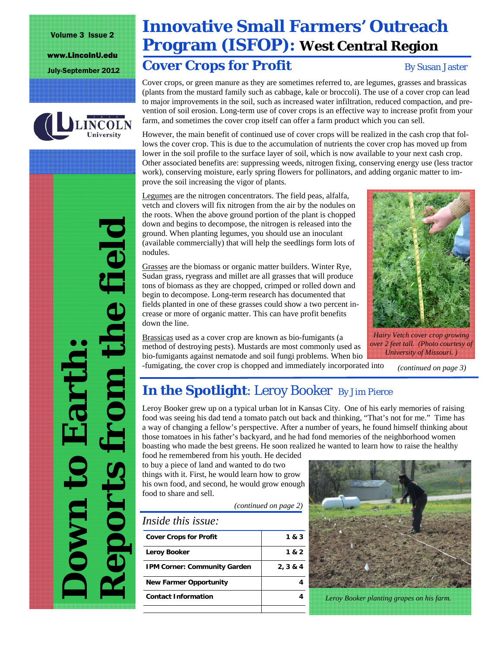Volume 3 Issue 2

www.LincolnU.edu



# **Innovative Small Farmers' Outreach Program (ISFOP): West Central Region**

## July-September 2012 **Cover Crops for Profit** By Susan Jaster

Cover crops, or green manure as they are sometimes referred to, are legumes, grasses and brassicas (plants from the mustard family such as cabbage, kale or broccoli). The use of a cover crop can lead to major improvements in the soil, such as increased water infiltration, reduced compaction, and prevention of soil erosion. Long-term use of cover crops is an effective way to increase profit from your farm, and sometimes the cover crop itself can offer a farm product which you can sell.

However, the main benefit of continued use of cover crops will be realized in the cash crop that follows the cover crop. This is due to the accumulation of nutrients the cover crop has moved up from lower in the soil profile to the surface layer of soil, which is now available to your next cash crop. Other associated benefits are: suppressing weeds, nitrogen fixing, conserving energy use (less tractor work), conserving moisture, early spring flowers for pollinators, and adding organic matter to improve the soil increasing the vigor of plants.

Legumes are the nitrogen concentrators. The field peas, alfalfa, vetch and clovers will fix nitrogen from the air by the nodules on the roots. When the above ground portion of the plant is chopped down and begins to decompose, the nitrogen is released into the ground. When planting legumes, you should use an inoculant (available commercially) that will help the seedlings form lots of nodules.

Grasses are the biomass or organic matter builders. Winter Rye, Sudan grass, ryegrass and millet are all grasses that will produce tons of biomass as they are chopped, crimped or rolled down and begin to decompose. Long-term research has documented that fields planted in one of these grasses could show a two percent increase or more of organic matter. This can have profit benefits

Brassicas used as a cover crop are known as bio-fumigants (a method of destroying pests). Mustards are most commonly used as bio-fumigants against nematode and soil fungi problems. When bio -fumigating, the cover crop is chopped and immediately incorporated into



*Hairy Vetch cover crop growing over 2 feet tall. (Photo courtesy of University of Missouri. )* 

*(continued on page 3)* 

# **In the Spotlight:** Leroy Booker By Jim Pierce

Leroy Booker grew up on a typical urban lot in Kansas City. One of his early memories of raising food was seeing his dad tend a tomato patch out back and thinking, "That's not for me." Time has a way of changing a fellow's perspective. After a number of years, he found himself thinking about those tomatoes in his father's backyard, and he had fond memories of the neighborhood women boasting who made the best greens. He soon realized he wanted to learn how to raise the healthy

food he remembered from his youth. He decided to buy a piece of land and wanted to do two things with it. First, he would learn how to grow his own food, and second, he would grow enough food to share and sell.

down the line.

*(continued on page 2)* 

| <b>Cover Crops for Profit</b>       | 1 & 3    |
|-------------------------------------|----------|
| Leroy Booker                        | 1 & 2    |
| <b>IPM Corner: Community Garden</b> | 2, 3 & 4 |
| <b>New Farmer Opportunity</b>       |          |
| <b>Contact Information</b>          |          |



*Leroy Booker planting grapes on his farm.* 

*Reports from the field*  e field **Down to Earth:**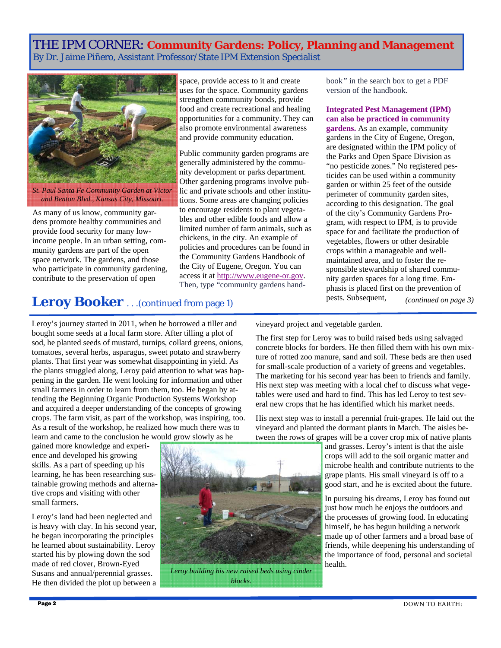### THE IPM CORNER: **Community Gardens: Policy, Planning and Management**  By Dr. Jaime Piñero, Assistant Professor/State IPM Extension Specialist



*St. Paul Santa Fe Community Garden at Victor and Benton Blvd., Kansas City, Missouri.* 

As many of us know, community gardens promote healthy communities and provide food security for many lowincome people. In an urban setting, community gardens are part of the open space network. The gardens, and those who participate in community gardening, contribute to the preservation of open

space, provide access to it and create uses for the space. Community gardens strengthen community bonds, provide food and create recreational and healing opportunities for a community. They can also promote environmental awareness and provide community education.

Public community garden programs are generally administered by the community development or parks department. Other gardening programs involve public and private schools and other institutions. Some areas are changing policies to encourage residents to plant vegetables and other edible foods and allow a limited number of farm animals, such as chickens, in the city. An example of policies and procedures can be found in the Community Gardens Handbook of the City of Eugene, Oregon. You can access it at http://www.eugene-or.gov. Then, type "community gardens handbook*"* in the search box to get a PDF version of the handbook.

**Integrated Pest Management (IPM) can also be practiced in community gardens.** As an example, community gardens in the City of Eugene, Oregon, are designated within the IPM policy of the Parks and Open Space Division as "no pesticide zones." No registered pesticides can be used within a community garden or within 25 feet of the outside perimeter of community garden sites, according to this designation. The goal of the city's Community Gardens Program, with respect to IPM, is to provide space for and facilitate the production of vegetables, flowers or other desirable crops within a manageable and wellmaintained area, and to foster the responsible stewardship of shared community garden spaces for a long time. Emphasis is placed first on the prevention of pests. Subsequent, *(continued on page 3)* 

## **Leroy Booker** . . .(continued from page 1)

Leroy's journey started in 2011, when he borrowed a tiller and bought some seeds at a local farm store. After tilling a plot of sod, he planted seeds of mustard, turnips, collard greens, onions, tomatoes, several herbs, asparagus, sweet potato and strawberry plants. That first year was somewhat disappointing in yield. As the plants struggled along, Leroy paid attention to what was happening in the garden. He went looking for information and other small farmers in order to learn from them, too. He began by attending the Beginning Organic Production Systems Workshop and acquired a deeper understanding of the concepts of growing crops. The farm visit, as part of the workshop, was inspiring, too. As a result of the workshop, he realized how much there was to learn and came to the conclusion he would grow slowly as he

gained more knowledge and experience and developed his growing skills. As a part of speeding up his learning, he has been researching sustainable growing methods and alternative crops and visiting with other small farmers.

Leroy's land had been neglected and is heavy with clay. In his second year, he began incorporating the principles he learned about sustainability. Leroy started his by plowing down the sod made of red clover, Brown-Eyed Susans and annual/perennial grasses. He then divided the plot up between a vineyard project and vegetable garden.

The first step for Leroy was to build raised beds using salvaged concrete blocks for borders. He then filled them with his own mixture of rotted zoo manure, sand and soil. These beds are then used for small-scale production of a variety of greens and vegetables. The marketing for his second year has been to friends and family. His next step was meeting with a local chef to discuss what vegetables were used and hard to find. This has led Leroy to test several new crops that he has identified which his market needs.

His next step was to install a perennial fruit-grapes. He laid out the vineyard and planted the dormant plants in March. The aisles between the rows of grapes will be a cover crop mix of native plants

and grasses. Leroy's intent is that the aisle crops will add to the soil organic matter and microbe health and contribute nutrients to the grape plants. His small vineyard is off to a good start, and he is excited about the future.

In pursuing his dreams, Leroy has found out just how much he enjoys the outdoors and the processes of growing food. In educating himself, he has begun building a network made up of other farmers and a broad base of friends, while deepening his understanding of the importance of food, personal and societal health.



*Leroy building his new raised beds using cinder blocks.*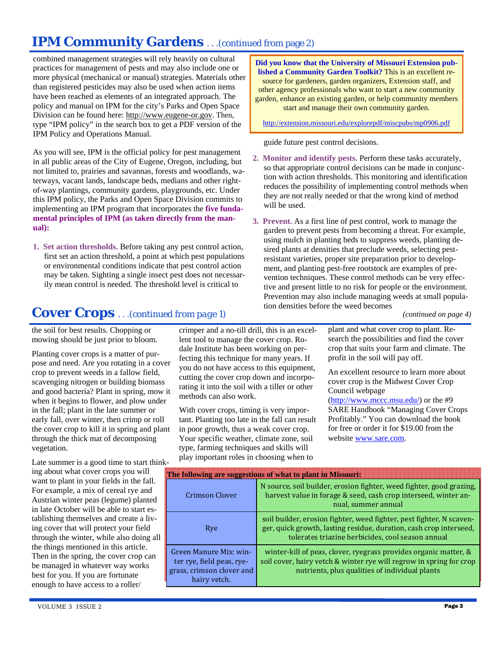# **IPM Community Gardens** . . .(continued from page 2)

combined management strategies will rely heavily on cultural practices for management of pests and may also include one or more physical (mechanical or manual) strategies. Materials other than registered pesticides may also be used when action items have been reached as elements of an integrated approach. The policy and manual on IPM for the city's Parks and Open Space Division can be found here: http://www.eugene-or.gov. Then, type "IPM policy" in the search box to get a PDF version of the IPM Policy and Operations Manual.

As you will see, IPM is the official policy for pest management in all public areas of the City of Eugene, Oregon, including, but not limited to, prairies and savannas, forests and woodlands, waterways, vacant lands, landscape beds, medians and other rightof-way plantings, community gardens, playgrounds, etc. Under this IPM policy, the Parks and Open Space Division commits to implementing an IPM program that incorporates the **five fundamental principles of IPM (as taken directly from the manual):**

**1. Set action thresholds.** Before taking any pest control action, first set an action threshold, a point at which pest populations or environmental conditions indicate that pest control action may be taken. Sighting a single insect pest does not necessarily mean control is needed. The threshold level is critical to

**Did you know that the University of Missouri Extension published a Community Garden Toolkit?** This is an excellent resource for gardeners, garden organizers, Extension staff, and other agency professionals who want to start a new community garden, enhance an existing garden, or help community members start and manage their own community garden.

http://extension.missouri.edu/explorepdf/miscpubs/mp0906.pdf

guide future pest control decisions.

- **2. Monitor and identify pests.** Perform these tasks accurately, so that appropriate control decisions can be made in conjunction with action thresholds. This monitoring and identification reduces the possibility of implementing control methods when they are not really needed or that the wrong kind of method will be used.
- **3. Prevent.** As a first line of pest control, work to manage the garden to prevent pests from becoming a threat. For example, using mulch in planting beds to suppress weeds, planting desired plants at densities that preclude weeds, selecting pestresistant varieties, proper site preparation prior to development, and planting pest-free rootstock are examples of prevention techniques. These control methods can be very effective and present little to no risk for people or the environment. Prevention may also include managing weeds at small population densities before the weed becomes

*(continued on page 4)* 

plant and what cover crop to plant. Research the possibilities and find the cover crop that suits your farm and climate. The profit in the soil will pay off.

An excellent resource to learn more about cover crop is the Midwest Cover Crop Council webpage

(http://www.mccc.msu.edu/) or the #9 SARE Handbook "Managing Cover Crops Profitably." You can download the book for free or order it for \$19.00 from the website www.sare.com.

| 1 K –                                                                                            |                                                                                                                                                                                                 |
|--------------------------------------------------------------------------------------------------|-------------------------------------------------------------------------------------------------------------------------------------------------------------------------------------------------|
| The following are suggestions of what to plant in Missouri:                                      |                                                                                                                                                                                                 |
| Crimson Clover                                                                                   | N source, soil builder, erosion fighter, weed fighter, good grazing,<br>harvest value in forage & seed, cash crop interseed, winter an-<br>nual, summer annual                                  |
| Rye                                                                                              | soil builder, erosion fighter, weed fighter, pest fighter, N scaven-<br>ger, quick growth, lasting residue, duration, cash crop interseed,<br>tolerates triazine herbicides, cool season annual |
| Green Manure Mix: win-<br>ter rye, field peas, rye-<br>grass, crimson clover and<br>hairy vetch. | winter-kill of peas, clover, ryegrass provides organic matter, &<br>soil cover, hairy vetch & winter rye will regrow in spring for crop<br>nutrients, plus qualities of individual plants       |

### **Cover Crops** . . .*(continued from page 1)*

the soil for best results. Chopping or mowing should be just prior to bloom.

Planting cover crops is a matter of purpose and need. Are you rotating in a cover crop to prevent weeds in a fallow field, scavenging nitrogen or building biomass and good bacteria? Plant in spring, mow it when it begins to flower, and plow under in the fall; plant in the late summer or early fall, over winter, then crimp or roll the cover crop to kill it in spring and plant through the thick mat of decomposing vegetation.

Late summer is a good time to start thinking about what cover crops you will want to plant in your fields in the fall. For example, a mix of cereal rye and Austrian winter peas (legume) planted in late October will be able to start establishing themselves and create a living cover that will protect your field through the winter, while also doing all the things mentioned in this article. Then in the spring, the cover crop can be managed in whatever way works best for you. If you are fortunate enough to have access to a roller/

crimper and a no-till drill, this is an excellent tool to manage the cover crop. Rodale Institute has been working on perfecting this technique for many years. If you do not have access to this equipment, cutting the cover crop down and incorporating it into the soil with a tiller or other methods can also work.

With cover crops, timing is very important. Planting too late in the fall can result in poor growth, thus a weak cover crop. Your specific weather, climate zone, soil type, farming techniques and skills will play important roles in choosing when to